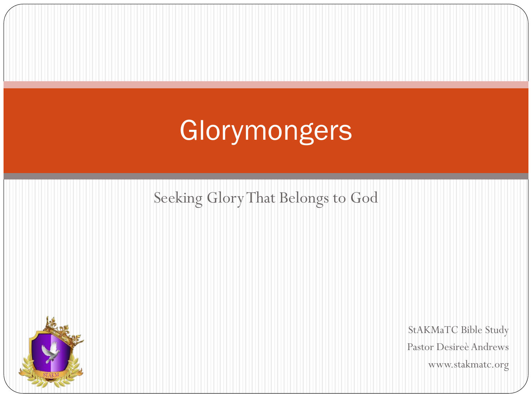# Glorymongers

#### Seeking Glory That Belongs to God



StAKMaTC Bible Study Pastor Desireè Andrews www.stakmatc.org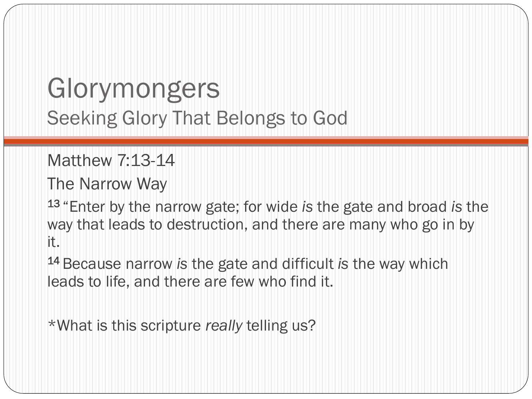Matthew 7:13-14

The Narrow Way

<sup>13</sup>"Enter by the narrow gate; for wide *is* the gate and broad *is* the way that leads to destruction, and there are many who go in by it.

<sup>14</sup>Because narrow *is* the gate and difficult *is* the way which leads to life, and there are few who find it.

\*What is this scripture *really* telling us?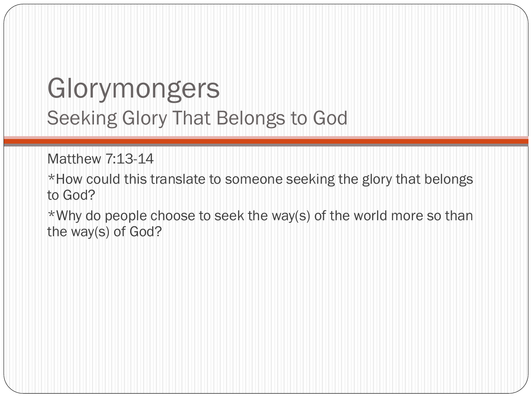Matthew 7:13-14

\*How could this translate to someone seeking the glory that belongs to God?

\*Why do people choose to seek the way(s) of the world more so than the way(s) of God?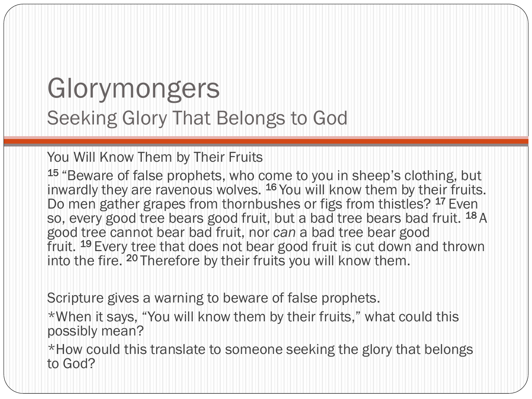You Will Know Them by Their Fruits

15 "Beware of false prophets, who come to you in sheep's clothing, but inwardly they are ravenous wolves. <sup>16</sup> You will know them by their fruits. Do men gather grapes from thornbushes or figs from thistles? <sup>17</sup> Even so, every good tree bears good fruit, but a bad tree bears bad fruit. <sup>18</sup> A good tree cannot bear bad fruit, nor *can* a bad tree bear good fruit. <sup>19</sup>Every tree that does not bear good fruit is cut down and thrown into the fire. <sup>20</sup> Therefore by their fruits you will know them.

Scripture gives a warning to beware of false prophets.

\*When it says, "You will know them by their fruits," what could this possibly mean?

\*How could this translate to someone seeking the glory that belongs to God?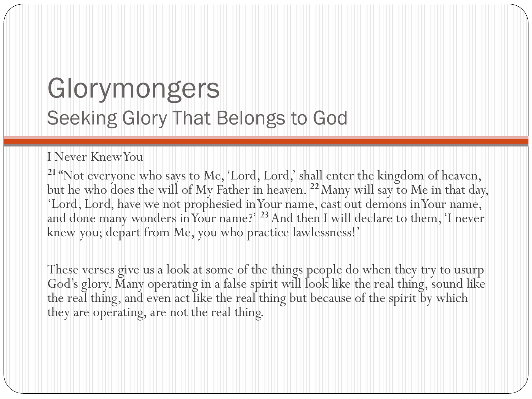#### I Never Knew You

**<sup>21</sup>** "Not everyone who says to Me, 'Lord, Lord,' shall enter the kingdom of heaven, but he who does the will of My Father in heaven. **<sup>22</sup>**Many will say to Me in that day, 'Lord, Lord, have we not prophesied in Your name, cast out demons in Your name, and done many wonders in Your name?' **<sup>23</sup>** And then I will declare to them, 'I never knew you; depart from Me, you who practice lawlessness!'

These verses give us a look at some of the things people do when they try to usurp God's glory. Many operating in a false spirit will look like the real thing, sound like the real thing, and even act like the real thing but because of the spirit by which they are operating, are not the real thing.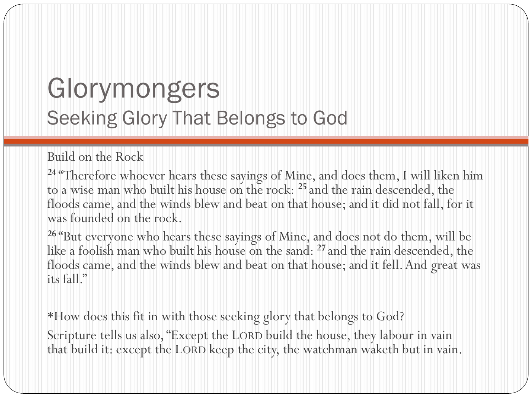#### Build on the Rock

**<sup>24</sup>** "Therefore whoever hears these sayings of Mine, and does them, I will liken him to a wise man who built his house on the rock: **<sup>25</sup>** and the rain descended, the floods came, and the winds blew and beat on that house; and it did not fall, for it was founded on the rock.

**<sup>26</sup>** "But everyone who hears these sayings of Mine, and does not do them, will be like a foolish man who built his house on the sand: **<sup>27</sup>** and the rain descended, the floods came, and the winds blew and beat on that house; and it fell. And great was its fall."

\*How does this fit in with those seeking glory that belongs to God? Scripture tells us also, "Except the LORD build the house, they labour in vain that build it: except the LORD keep the city, the watchman waketh but in vain.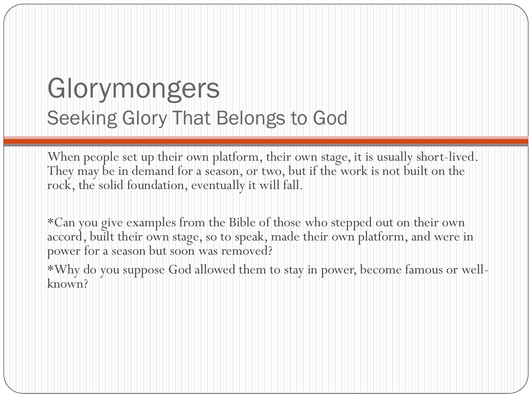When people set up their own platform, their own stage, it is usually short-lived. They may be in demand for a season, or two, but if the work is not built on the rock, the solid foundation, eventually it will fall.

\*Can you give examples from the Bible of those who stepped out on their own accord, built their own stage, so to speak, made their own platform, and were in power for a season but soon was removed?

\*Why do you suppose God allowed them to stay in power, become famous or wellknown?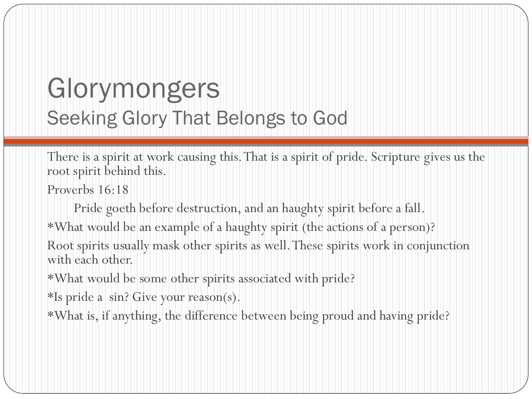There is a spirit at work causing this. That is a spirit of pride. Scripture gives us the root spirit behind this.

Proverbs 16:18

Pride goeth before destruction, and an haughty spirit before a fall.

\*What would be an example of a haughty spirit (the actions of a person)?

Root spirits usually mask other spirits as well. These spirits work in conjunction with each other.

\*What would be some other spirits associated with pride?

\*Is pride a sin? Give your reason(s).

\*What is, if anything, the difference between being proud and having pride?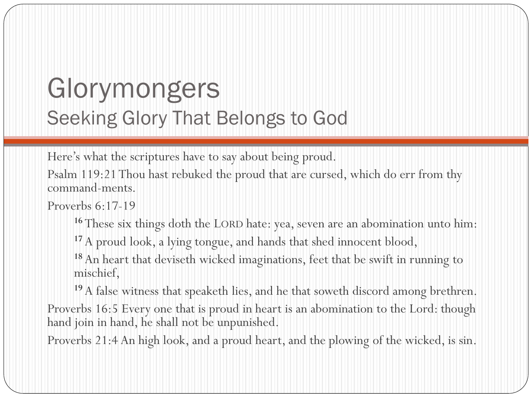Here's what the scriptures have to say about being proud.

Psalm 119:21 Thou hast rebuked the proud that are cursed, which do err from thy command-ments.

Proverbs 6:17-19

**<sup>16</sup>** These six things doth the LORD hate: yea, seven are an abomination unto him:

<sup>17</sup> A proud look, a lying tongue, and hands that shed innocent blood,

**<sup>18</sup>**An heart that deviseth wicked imaginations, feet that be swift in running to mischief,

**<sup>19</sup>**A false witness that speaketh lies, and he that soweth discord among brethren.

Proverbs 16:5 Every one that is proud in heart is an abomination to the Lord: though hand join in hand, he shall not be unpunished.

Proverbs 21:4 An high look, and a proud heart, and the plowing of the wicked, is sin.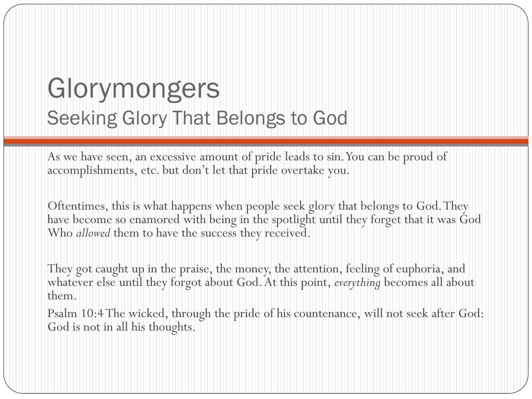As we have seen, an excessive amount of pride leads to sin. You can be proud of accomplishments, etc. but don't let that pride overtake you.

Oftentimes, this is what happens when people seek glory that belongs to God. They have become so enamored with being in the spotlight until they forget that it was God Who *allowed* them to have the success they received.

They got caught up in the praise, the money, the attention, feeling of euphoria, and whatever else until they forgot about God. At this point, *everything* becomes all about them.

Psalm 10:4 The wicked, through the pride of his countenance, will not seek after God: God is not in all his thoughts.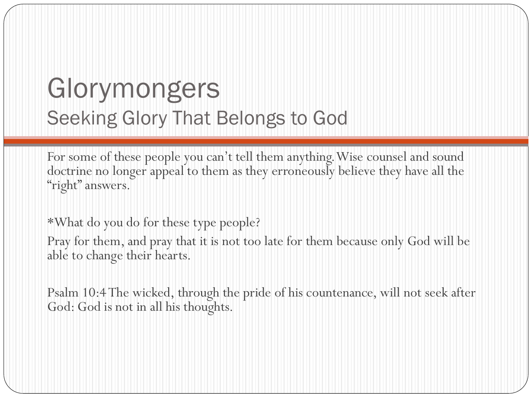For some of these people you can't tell them anything. Wise counsel and sound doctrine no longer appeal to them as they erroneously believe they have all the "right" answers.

\*What do you do for these type people?

Pray for them, and pray that it is not too late for them because only God will be able to change their hearts.

Psalm 10:4 The wicked, through the pride of his countenance, will not seek after God: God is not in all his thoughts.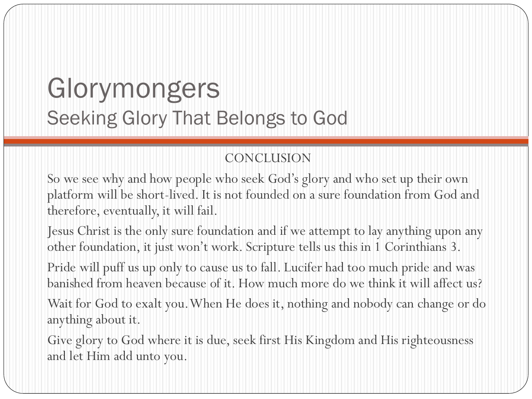#### CONCLUSION

So we see why and how people who seek God's glory and who set up their own platform will be short-lived. It is not founded on a sure foundation from God and therefore, eventually, it will fail.

Jesus Christ is the only sure foundation and if we attempt to lay anything upon any other foundation, it just won't work. Scripture tells us this in 1 Corinthians 3.

Pride will puff us up only to cause us to fall. Lucifer had too much pride and was banished from heaven because of it. How much more do we think it will affect us?

Wait for God to exalt you. When He does it, nothing and nobody can change or do anything about it.

Give glory to God where it is due, seek first His Kingdom and His righteousness and let Him add unto you.